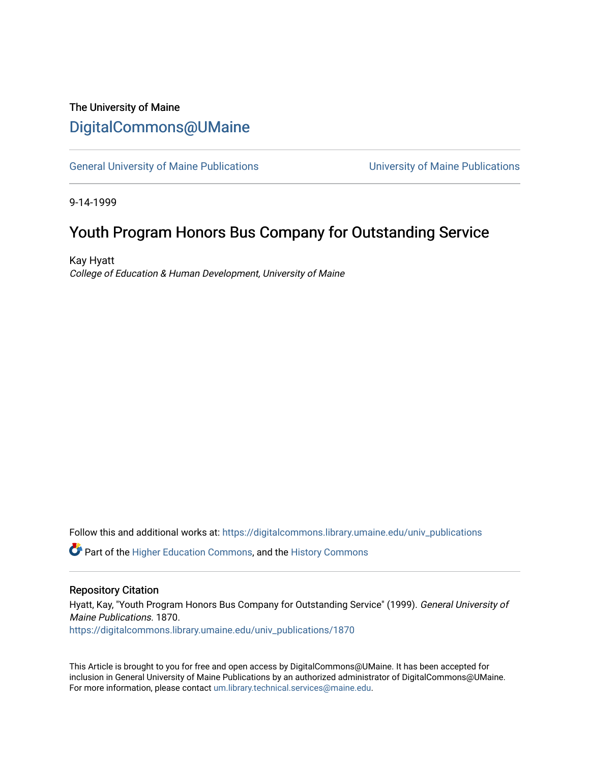# The University of Maine [DigitalCommons@UMaine](https://digitalcommons.library.umaine.edu/)

[General University of Maine Publications](https://digitalcommons.library.umaine.edu/univ_publications) [University of Maine Publications](https://digitalcommons.library.umaine.edu/umaine_publications) 

9-14-1999

# Youth Program Honors Bus Company for Outstanding Service

Kay Hyatt College of Education & Human Development, University of Maine

Follow this and additional works at: [https://digitalcommons.library.umaine.edu/univ\\_publications](https://digitalcommons.library.umaine.edu/univ_publications?utm_source=digitalcommons.library.umaine.edu%2Funiv_publications%2F1870&utm_medium=PDF&utm_campaign=PDFCoverPages) 

**C** Part of the [Higher Education Commons,](http://network.bepress.com/hgg/discipline/1245?utm_source=digitalcommons.library.umaine.edu%2Funiv_publications%2F1870&utm_medium=PDF&utm_campaign=PDFCoverPages) and the [History Commons](http://network.bepress.com/hgg/discipline/489?utm_source=digitalcommons.library.umaine.edu%2Funiv_publications%2F1870&utm_medium=PDF&utm_campaign=PDFCoverPages)

#### Repository Citation

Hyatt, Kay, "Youth Program Honors Bus Company for Outstanding Service" (1999). General University of Maine Publications. 1870.

[https://digitalcommons.library.umaine.edu/univ\\_publications/1870](https://digitalcommons.library.umaine.edu/univ_publications/1870?utm_source=digitalcommons.library.umaine.edu%2Funiv_publications%2F1870&utm_medium=PDF&utm_campaign=PDFCoverPages)

This Article is brought to you for free and open access by DigitalCommons@UMaine. It has been accepted for inclusion in General University of Maine Publications by an authorized administrator of DigitalCommons@UMaine. For more information, please contact [um.library.technical.services@maine.edu](mailto:um.library.technical.services@maine.edu).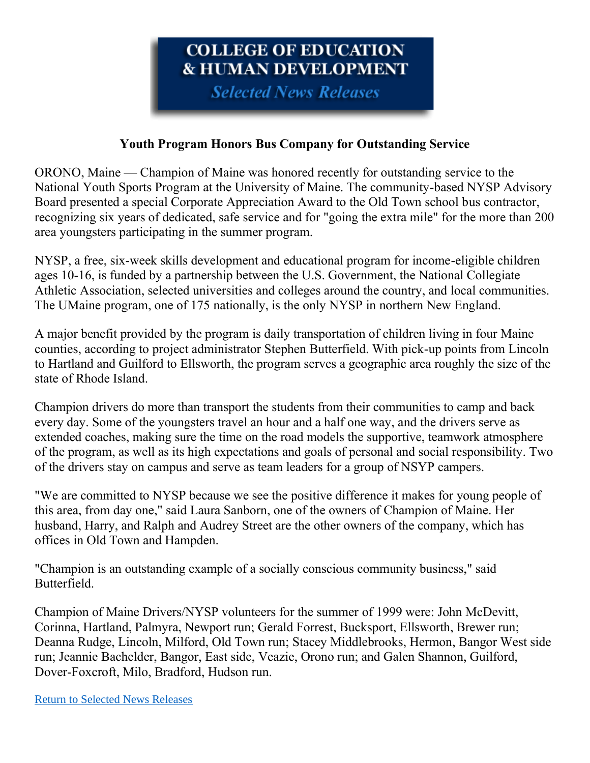# **COLLEGE OF EDUCATION & HUMAN DEVELOPMENT**

**Selected News Releases** 

### **Youth Program Honors Bus Company for Outstanding Service**

ORONO, Maine — Champion of Maine was honored recently for outstanding service to the National Youth Sports Program at the University of Maine. The community-based NYSP Advisory Board presented a special Corporate Appreciation Award to the Old Town school bus contractor, recognizing six years of dedicated, safe service and for "going the extra mile" for the more than 200 area youngsters participating in the summer program.

NYSP, a free, six-week skills development and educational program for income-eligible children ages 10-16, is funded by a partnership between the U.S. Government, the National Collegiate Athletic Association, selected universities and colleges around the country, and local communities. The UMaine program, one of 175 nationally, is the only NYSP in northern New England.

A major benefit provided by the program is daily transportation of children living in four Maine counties, according to project administrator Stephen Butterfield. With pick-up points from Lincoln to Hartland and Guilford to Ellsworth, the program serves a geographic area roughly the size of the state of Rhode Island.

Champion drivers do more than transport the students from their communities to camp and back every day. Some of the youngsters travel an hour and a half one way, and the drivers serve as extended coaches, making sure the time on the road models the supportive, teamwork atmosphere of the program, as well as its high expectations and goals of personal and social responsibility. Two of the drivers stay on campus and serve as team leaders for a group of NSYP campers.

"We are committed to NYSP because we see the positive difference it makes for young people of this area, from day one," said Laura Sanborn, one of the owners of Champion of Maine. Her husband, Harry, and Ralph and Audrey Street are the other owners of the company, which has offices in Old Town and Hampden.

"Champion is an outstanding example of a socially conscious community business," said Butterfield.

Champion of Maine Drivers/NYSP volunteers for the summer of 1999 were: John McDevitt, Corinna, Hartland, Palmyra, Newport run; Gerald Forrest, Bucksport, Ellsworth, Brewer run; Deanna Rudge, Lincoln, Milford, Old Town run; Stacey Middlebrooks, Hermon, Bangor West side run; Jeannie Bachelder, Bangor, East side, Veazie, Orono run; and Galen Shannon, Guilford, Dover-Foxcroft, Milo, Bradford, Hudson run.